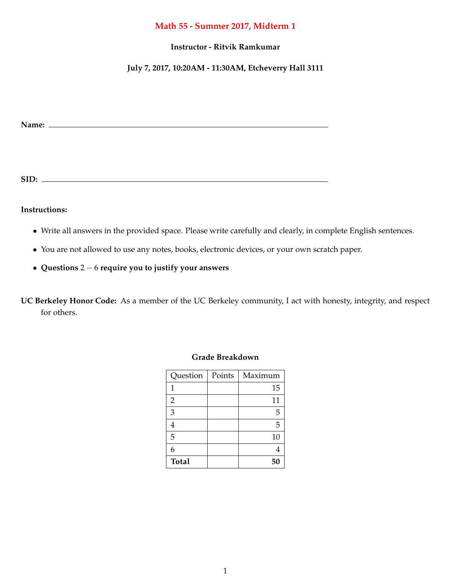## **Math 55 - Summer 2017, Midterm 1**

## **Instructor - Ritvik Ramkumar**

## **July 7, 2017, 10:20AM - 11:30AM, Etcheverry Hall 3111**

**Name:**

**SID:**

**Instructions:**

- *•* Write all answers in the provided space. Please write carefully and clearly, in complete English sentences.
- *•* You are not allowed to use any notes, books, electronic devices, or your own scratch paper.
- *•* **Questions** 2 6 **require you to justify your answers**

**UC Berkeley Honor Code:** As a member of the UC Berkeley community, I act with honesty, integrity, and respect for others.

| Question       | Points | Maximum |
|----------------|--------|---------|
| 1              |        | 15      |
| $\overline{2}$ |        | 11      |
| 3              |        | 5       |
| 4              |        | 5       |
| 5              |        | 10      |
| 6              |        |         |
| <b>Total</b>   |        | 50      |

## **Grade Breakdown**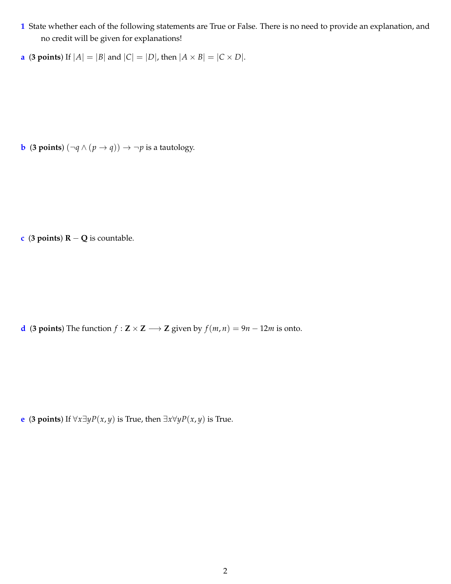- **1** State whether each of the following statements are True or False. There is no need to provide an explanation, and no credit will be given for explanations!
- **a** (**3 points**) If  $|A| = |B|$  and  $|C| = |D|$ , then  $|A \times B| = |C \times D|$ .

**b** (**3 points**)  $(\neg q \land (p \rightarrow q)) \rightarrow \neg p$  is a tautology.

**c** (**3** points)  $R - Q$  is countable.

**d** (**3** points) The function  $f : \mathbf{Z} \times \mathbf{Z} \longrightarrow \mathbf{Z}$  given by  $f(m, n) = 9n - 12m$  is onto.

**e** (**3** points) If  $\forall x \exists y P(x, y)$  is True, then  $\exists x \forall y P(x, y)$  is True.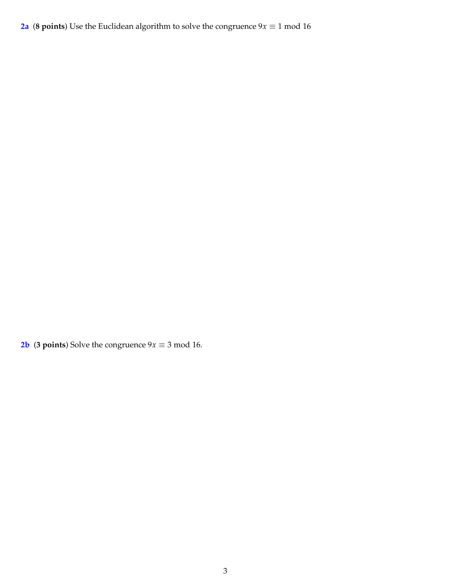**2a** (8 points) Use the Euclidean algorithm to solve the congruence  $9x \equiv 1 \text{ mod } 16$ 

**2b** (**3 points**) Solve the congruence  $9x \equiv 3 \text{ mod } 16$ .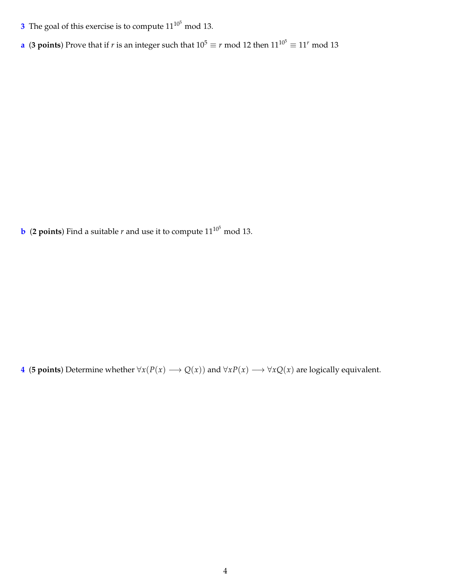- **3** The goal of this exercise is to compute  $11^{10^5}$  mod 13.
- **a** (3 points) Prove that if *r* is an integer such that  $10^5 \equiv r \mod 12$  then  $11^{10^5} \equiv 11^r \mod 13$

**b** (2 points) Find a suitable  $r$  and use it to compute  $11^{10^5}$  mod 13.

**4** (**5 points**) Determine whether  $\forall x(P(x) \rightarrow Q(x))$  and  $\forall xP(x) \rightarrow \forall xQ(x)$  are logically equivalent.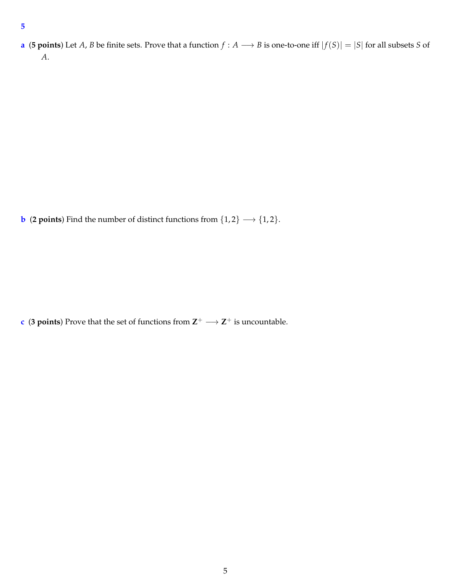**a** (5 points) Let *A*, *B* be finite sets. Prove that a function  $f : A \longrightarrow B$  is one-to-one iff  $|f(S)| = |S|$  for all subsets *S* of *A*.

**b** (**2 points**) Find the number of distinct functions from  $\{1, 2\} \rightarrow \{1, 2\}$ .

**c** (**3** points) Prove that the set of functions from  $\mathbb{Z}^+ \longrightarrow \mathbb{Z}^+$  is uncountable.